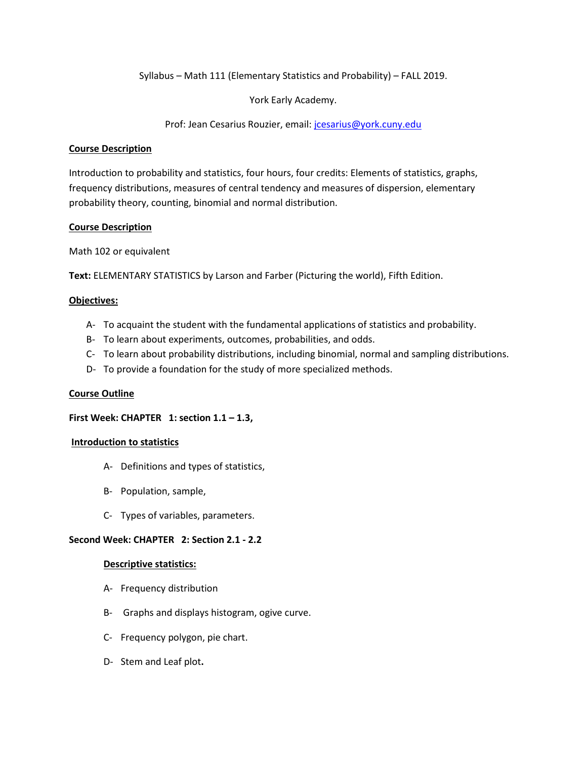Syllabus – Math 111 (Elementary Statistics and Probability) – FALL 2019.

York Early Academy.

Prof: Jean Cesarius Rouzier, email[: jcesarius@york.cuny.edu](mailto:jcesarius@york.com)

### **Course Description**

Introduction to probability and statistics, four hours, four credits: Elements of statistics, graphs, frequency distributions, measures of central tendency and measures of dispersion, elementary probability theory, counting, binomial and normal distribution.

# **Course Description**

Math 102 or equivalent

**Text:** ELEMENTARY STATISTICS by Larson and Farber (Picturing the world), Fifth Edition.

# **Objectives:**

- A- To acquaint the student with the fundamental applications of statistics and probability.
- B- To learn about experiments, outcomes, probabilities, and odds.
- C- To learn about probability distributions, including binomial, normal and sampling distributions.
- D- To provide a foundation for the study of more specialized methods.

# **Course Outline**

#### **First Week: CHAPTER 1: section 1.1 – 1.3,**

#### **Introduction to statistics**

- A- Definitions and types of statistics,
- B- Population, sample,
- C- Types of variables, parameters.

#### **Second Week: CHAPTER 2: Section 2.1 - 2.2**

#### **Descriptive statistics:**

- A- Frequency distribution
- B- Graphs and displays histogram, ogive curve.
- C- Frequency polygon, pie chart.
- D- Stem and Leaf plot**.**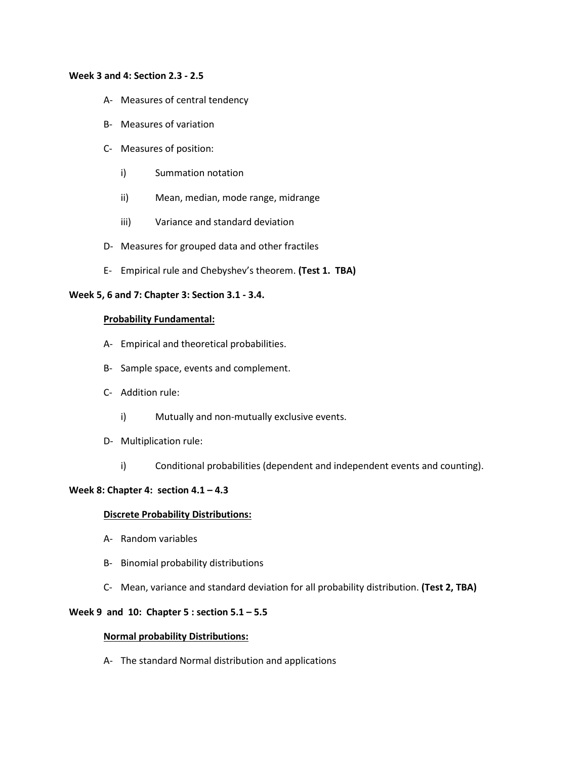#### **Week 3 and 4: Section 2.3 - 2.5**

- A- Measures of central tendency
- B- Measures of variation
- C- Measures of position:
	- i) Summation notation
	- ii) Mean, median, mode range, midrange
	- iii) Variance and standard deviation
- D- Measures for grouped data and other fractiles
- E- Empirical rule and Chebyshev's theorem. **(Test 1. TBA)**

### **Week 5, 6 and 7: Chapter 3: Section 3.1 - 3.4.**

#### **Probability Fundamental:**

- A- Empirical and theoretical probabilities.
- B- Sample space, events and complement.
- C- Addition rule:
	- i) Mutually and non-mutually exclusive events.
- D- Multiplication rule:
	- i) Conditional probabilities (dependent and independent events and counting).

# **Week 8: Chapter 4: section 4.1 – 4.3**

#### **Discrete Probability Distributions:**

- A- Random variables
- B- Binomial probability distributions
- C- Mean, variance and standard deviation for all probability distribution. **(Test 2, TBA)**

#### **Week 9 and 10: Chapter 5 : section 5.1 – 5.5**

#### **Normal probability Distributions:**

A- The standard Normal distribution and applications